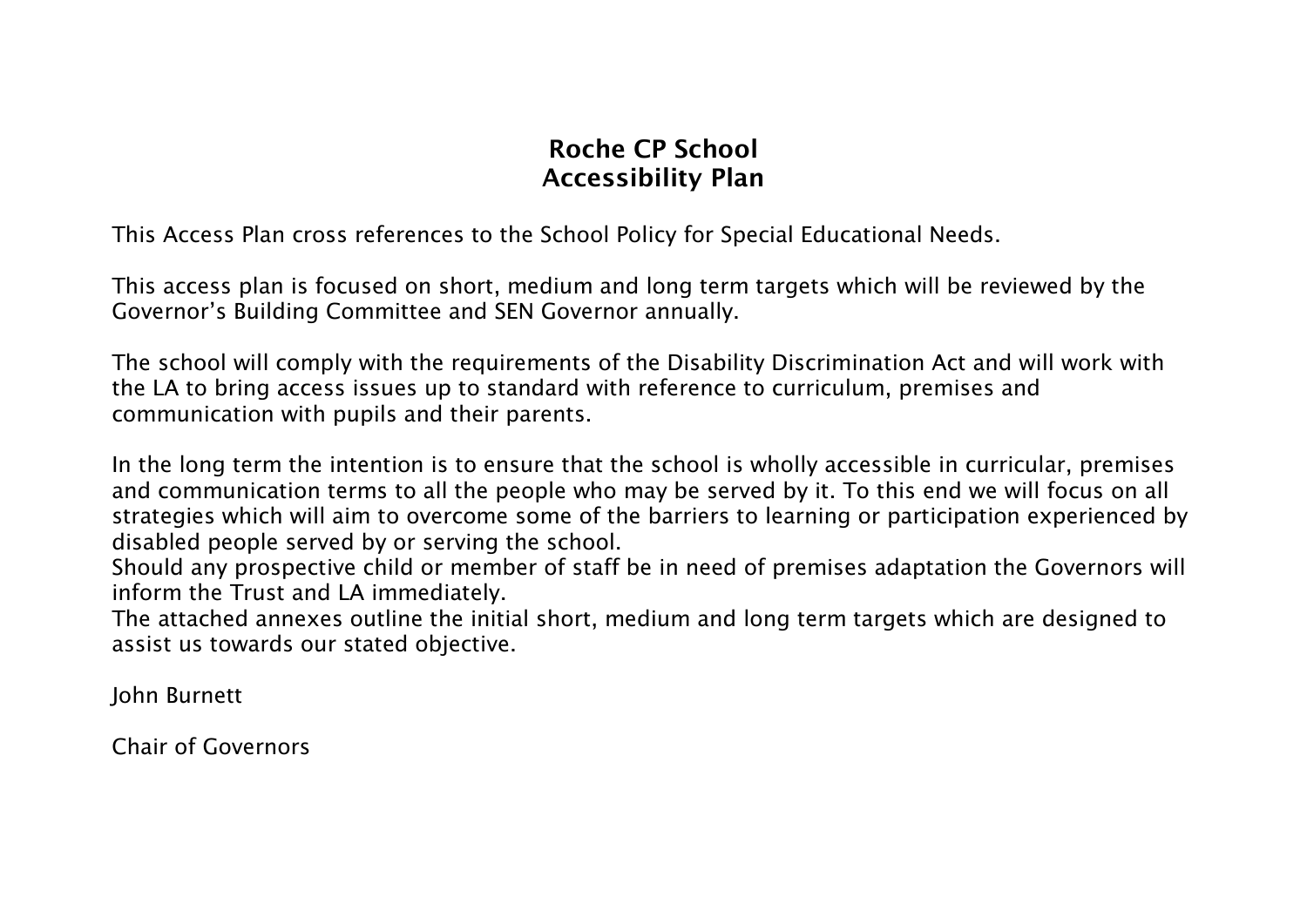## **Roche CP School Accessibility Plan**

This Access Plan cross references to the School Policy for Special Educational Needs.

This access plan is focused on short, medium and long term targets which will be reviewed by the Governor's Building Committee and SEN Governor annually.

The school will comply with the requirements of the Disability Discrimination Act and will work with the LA to bring access issues up to standard with reference to curriculum, premises and communication with pupils and their parents.

In the long term the intention is to ensure that the school is wholly accessible in curricular, premises and communication terms to all the people who may be served by it. To this end we will focus on all strategies which will aim to overcome some of the barriers to learning or participation experienced by disabled people served by or serving the school.

Should any prospective child or member of staff be in need of premises adaptation the Governors will inform the Trust and LA immediately.

The attached annexes outline the initial short, medium and long term targets which are designed to assist us towards our stated objective.

John Burnett

Chair of Governors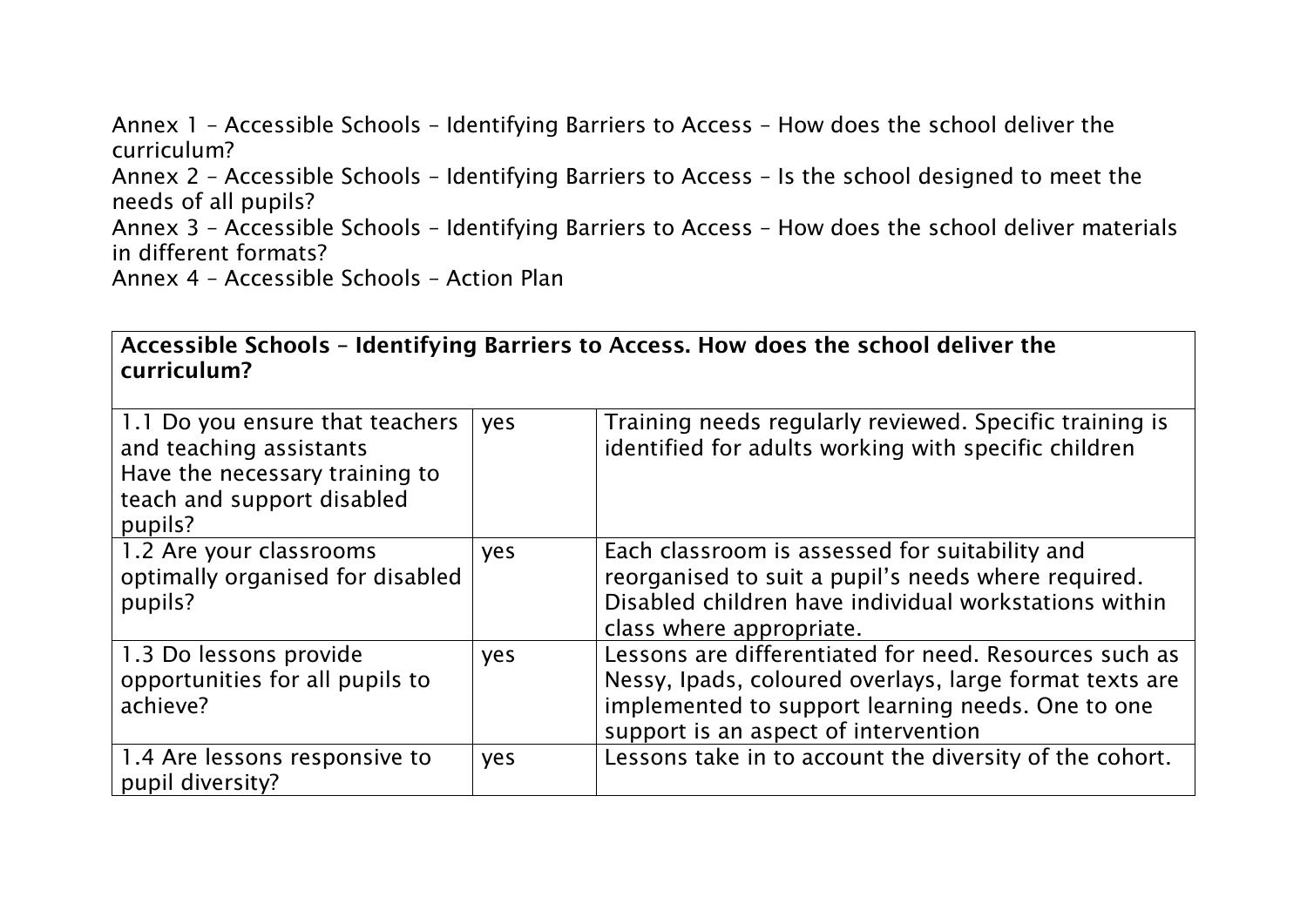Annex 1 – Accessible Schools – Identifying Barriers to Access – How does the school deliver the curriculum? Annex 2 – Accessible Schools – Identifying Barriers to Access – Is the school designed to meet the needs of all pupils? Annex 3 – Accessible Schools – Identifying Barriers to Access – How does the school deliver materials in different formats? Annex 4 – Accessible Schools – Action Plan

| Accessible Schools - Identifying Barriers to Access. How does the school deliver the |  |
|--------------------------------------------------------------------------------------|--|
| curriculum?                                                                          |  |

| 1.1 Do you ensure that teachers<br>and teaching assistants<br>Have the necessary training to<br>teach and support disabled<br>pupils? | yes | Training needs regularly reviewed. Specific training is<br>identified for adults working with specific children                                                                                                |
|---------------------------------------------------------------------------------------------------------------------------------------|-----|----------------------------------------------------------------------------------------------------------------------------------------------------------------------------------------------------------------|
| 1.2 Are your classrooms<br>optimally organised for disabled<br>pupils?                                                                | yes | Each classroom is assessed for suitability and<br>reorganised to suit a pupil's needs where required.<br>Disabled children have individual workstations within<br>class where appropriate.                     |
| 1.3 Do lessons provide<br>opportunities for all pupils to<br>achieve?                                                                 | yes | Lessons are differentiated for need. Resources such as<br>Nessy, Ipads, coloured overlays, large format texts are<br>implemented to support learning needs. One to one<br>support is an aspect of intervention |
| 1.4 Are lessons responsive to<br>pupil diversity?                                                                                     | yes | Lessons take in to account the diversity of the cohort.                                                                                                                                                        |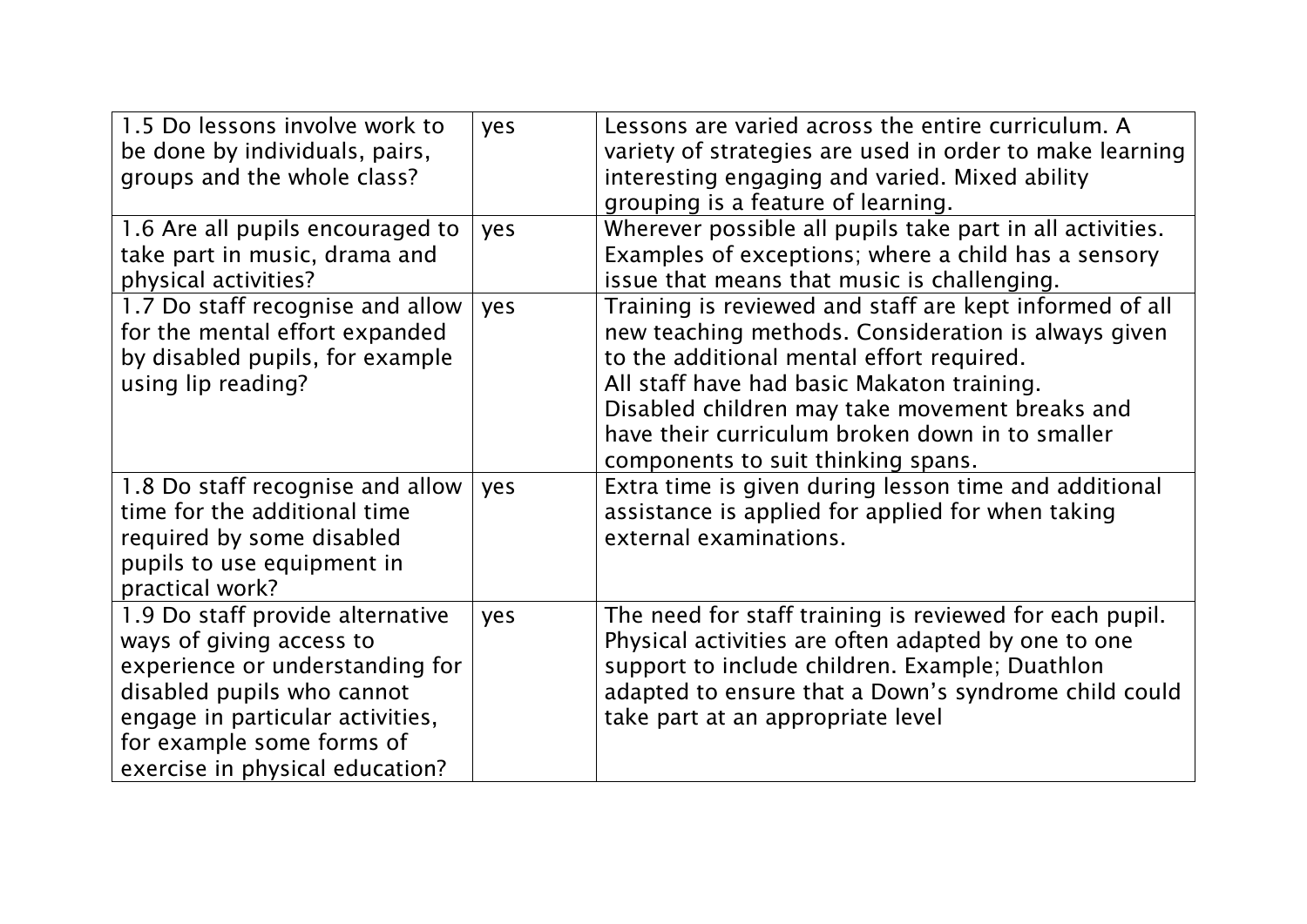| 1.5 Do lessons involve work to<br>be done by individuals, pairs,<br>groups and the whole class?                                                                                                                                   | yes | Lessons are varied across the entire curriculum. A<br>variety of strategies are used in order to make learning<br>interesting engaging and varied. Mixed ability<br>grouping is a feature of learning.                                                                                                                                               |
|-----------------------------------------------------------------------------------------------------------------------------------------------------------------------------------------------------------------------------------|-----|------------------------------------------------------------------------------------------------------------------------------------------------------------------------------------------------------------------------------------------------------------------------------------------------------------------------------------------------------|
| 1.6 Are all pupils encouraged to<br>take part in music, drama and<br>physical activities?                                                                                                                                         | yes | Wherever possible all pupils take part in all activities.<br>Examples of exceptions; where a child has a sensory<br>issue that means that music is challenging.                                                                                                                                                                                      |
| 1.7 Do staff recognise and allow<br>for the mental effort expanded<br>by disabled pupils, for example<br>using lip reading?                                                                                                       | yes | Training is reviewed and staff are kept informed of all<br>new teaching methods. Consideration is always given<br>to the additional mental effort required.<br>All staff have had basic Makaton training.<br>Disabled children may take movement breaks and<br>have their curriculum broken down in to smaller<br>components to suit thinking spans. |
| 1.8 Do staff recognise and allow<br>time for the additional time<br>required by some disabled<br>pupils to use equipment in<br>practical work?                                                                                    | yes | Extra time is given during lesson time and additional<br>assistance is applied for applied for when taking<br>external examinations.                                                                                                                                                                                                                 |
| 1.9 Do staff provide alternative<br>ways of giving access to<br>experience or understanding for<br>disabled pupils who cannot<br>engage in particular activities,<br>for example some forms of<br>exercise in physical education? | yes | The need for staff training is reviewed for each pupil.<br>Physical activities are often adapted by one to one<br>support to include children. Example; Duathlon<br>adapted to ensure that a Down's syndrome child could<br>take part at an appropriate level                                                                                        |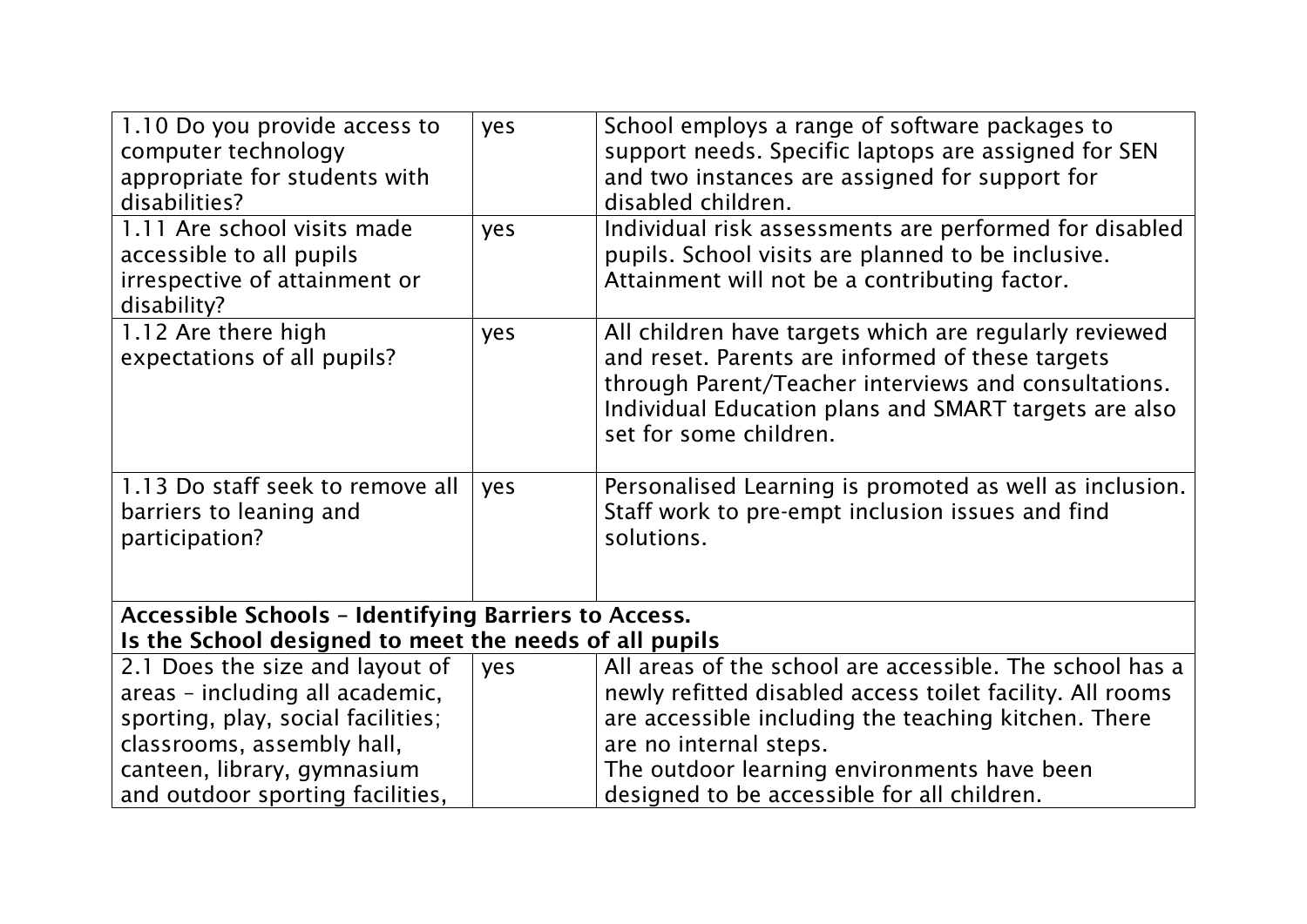| 1.10 Do you provide access to<br>computer technology<br>appropriate for students with<br>disabilities?                                                                                                    | yes                                                                                                                   | School employs a range of software packages to<br>support needs. Specific laptops are assigned for SEN<br>and two instances are assigned for support for<br>disabled children.                                                                                                                        |  |  |  |
|-----------------------------------------------------------------------------------------------------------------------------------------------------------------------------------------------------------|-----------------------------------------------------------------------------------------------------------------------|-------------------------------------------------------------------------------------------------------------------------------------------------------------------------------------------------------------------------------------------------------------------------------------------------------|--|--|--|
| 1.11 Are school visits made<br>accessible to all pupils<br>irrespective of attainment or<br>disability?                                                                                                   | yes                                                                                                                   | Individual risk assessments are performed for disabled<br>pupils. School visits are planned to be inclusive.<br>Attainment will not be a contributing factor.                                                                                                                                         |  |  |  |
| 1.12 Are there high<br>expectations of all pupils?                                                                                                                                                        | yes                                                                                                                   | All children have targets which are regularly reviewed<br>and reset. Parents are informed of these targets<br>through Parent/Teacher interviews and consultations.<br>Individual Education plans and SMART targets are also<br>set for some children.                                                 |  |  |  |
| 1.13 Do staff seek to remove all<br>barriers to leaning and<br>participation?                                                                                                                             | yes                                                                                                                   | Personalised Learning is promoted as well as inclusion.<br>Staff work to pre-empt inclusion issues and find<br>solutions.                                                                                                                                                                             |  |  |  |
|                                                                                                                                                                                                           | <b>Accessible Schools - Identifying Barriers to Access.</b><br>Is the School designed to meet the needs of all pupils |                                                                                                                                                                                                                                                                                                       |  |  |  |
| 2.1 Does the size and layout of<br>areas - including all academic,<br>sporting, play, social facilities;<br>classrooms, assembly hall,<br>canteen, library, gymnasium<br>and outdoor sporting facilities, | yes                                                                                                                   | All areas of the school are accessible. The school has a<br>newly refitted disabled access toilet facility. All rooms<br>are accessible including the teaching kitchen. There<br>are no internal steps.<br>The outdoor learning environments have been<br>designed to be accessible for all children. |  |  |  |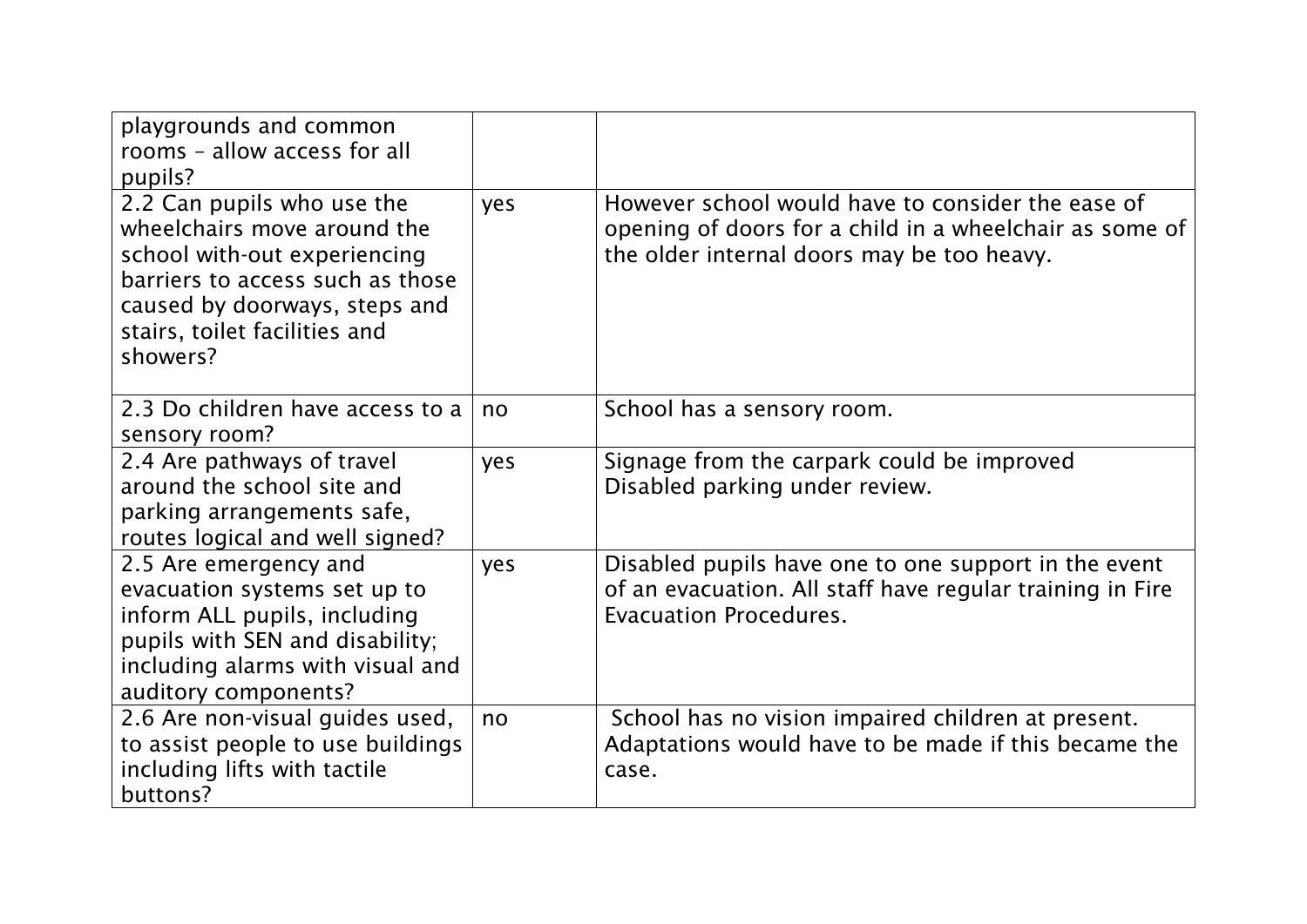| playgrounds and common<br>rooms - allow access for all<br>pupils?                                                                                                                                           |     |                                                                                                                                                            |
|-------------------------------------------------------------------------------------------------------------------------------------------------------------------------------------------------------------|-----|------------------------------------------------------------------------------------------------------------------------------------------------------------|
| 2.2 Can pupils who use the<br>wheelchairs move around the<br>school with-out experiencing<br>barriers to access such as those<br>caused by doorways, steps and<br>stairs, toilet facilities and<br>showers? | yes | However school would have to consider the ease of<br>opening of doors for a child in a wheelchair as some of<br>the older internal doors may be too heavy. |
| 2.3 Do children have access to a<br>sensory room?                                                                                                                                                           | no  | School has a sensory room.                                                                                                                                 |
| 2.4 Are pathways of travel<br>around the school site and<br>parking arrangements safe,<br>routes logical and well signed?                                                                                   | yes | Signage from the carpark could be improved<br>Disabled parking under review.                                                                               |
| 2.5 Are emergency and<br>evacuation systems set up to<br>inform ALL pupils, including<br>pupils with SEN and disability;<br>including alarms with visual and<br>auditory components?                        | yes | Disabled pupils have one to one support in the event<br>of an evacuation. All staff have regular training in Fire<br><b>Evacuation Procedures.</b>         |
| 2.6 Are non-visual guides used,<br>to assist people to use buildings<br>including lifts with tactile<br>buttons?                                                                                            | no  | School has no vision impaired children at present.<br>Adaptations would have to be made if this became the<br>case.                                        |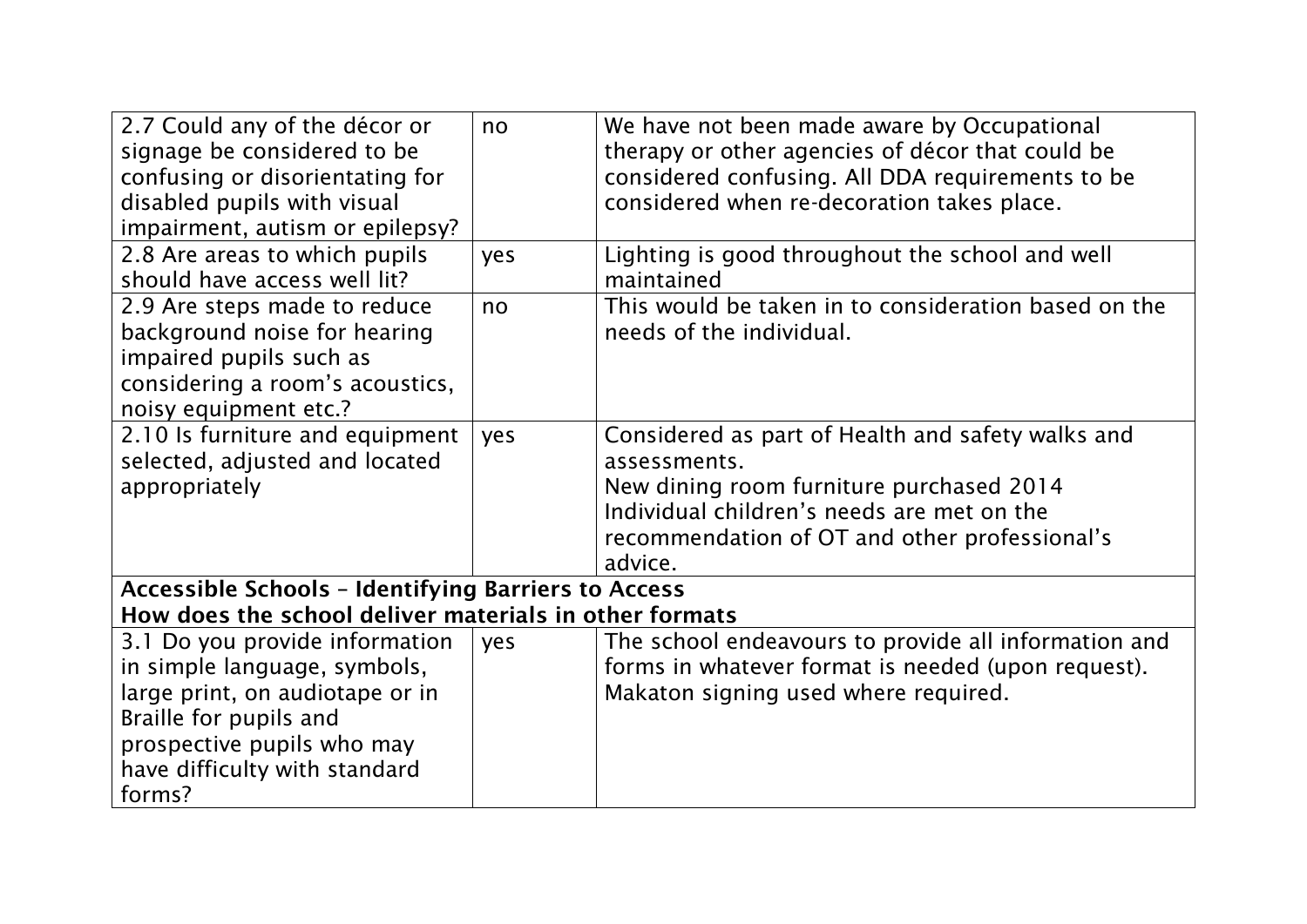| 2.7 Could any of the décor or<br>signage be considered to be<br>confusing or disorientating for<br>disabled pupils with visual<br>impairment, autism or epilepsy?                                    | no  | We have not been made aware by Occupational<br>therapy or other agencies of décor that could be<br>considered confusing. All DDA requirements to be<br>considered when re-decoration takes place.                       |  |  |
|------------------------------------------------------------------------------------------------------------------------------------------------------------------------------------------------------|-----|-------------------------------------------------------------------------------------------------------------------------------------------------------------------------------------------------------------------------|--|--|
| 2.8 Are areas to which pupils<br>should have access well lit?                                                                                                                                        | yes | Lighting is good throughout the school and well<br>maintained                                                                                                                                                           |  |  |
| 2.9 Are steps made to reduce<br>background noise for hearing<br>impaired pupils such as<br>considering a room's acoustics,<br>noisy equipment etc.?                                                  | no  | This would be taken in to consideration based on the<br>needs of the individual.                                                                                                                                        |  |  |
| 2.10 Is furniture and equipment<br>selected, adjusted and located<br>appropriately                                                                                                                   | yes | Considered as part of Health and safety walks and<br>assessments.<br>New dining room furniture purchased 2014<br>Individual children's needs are met on the<br>recommendation of OT and other professional's<br>advice. |  |  |
| <b>Accessible Schools - Identifying Barriers to Access</b><br>How does the school deliver materials in other formats                                                                                 |     |                                                                                                                                                                                                                         |  |  |
| 3.1 Do you provide information<br>in simple language, symbols,<br>large print, on audiotape or in<br>Braille for pupils and<br>prospective pupils who may<br>have difficulty with standard<br>forms? | yes | The school endeavours to provide all information and<br>forms in whatever format is needed (upon request).<br>Makaton signing used where required.                                                                      |  |  |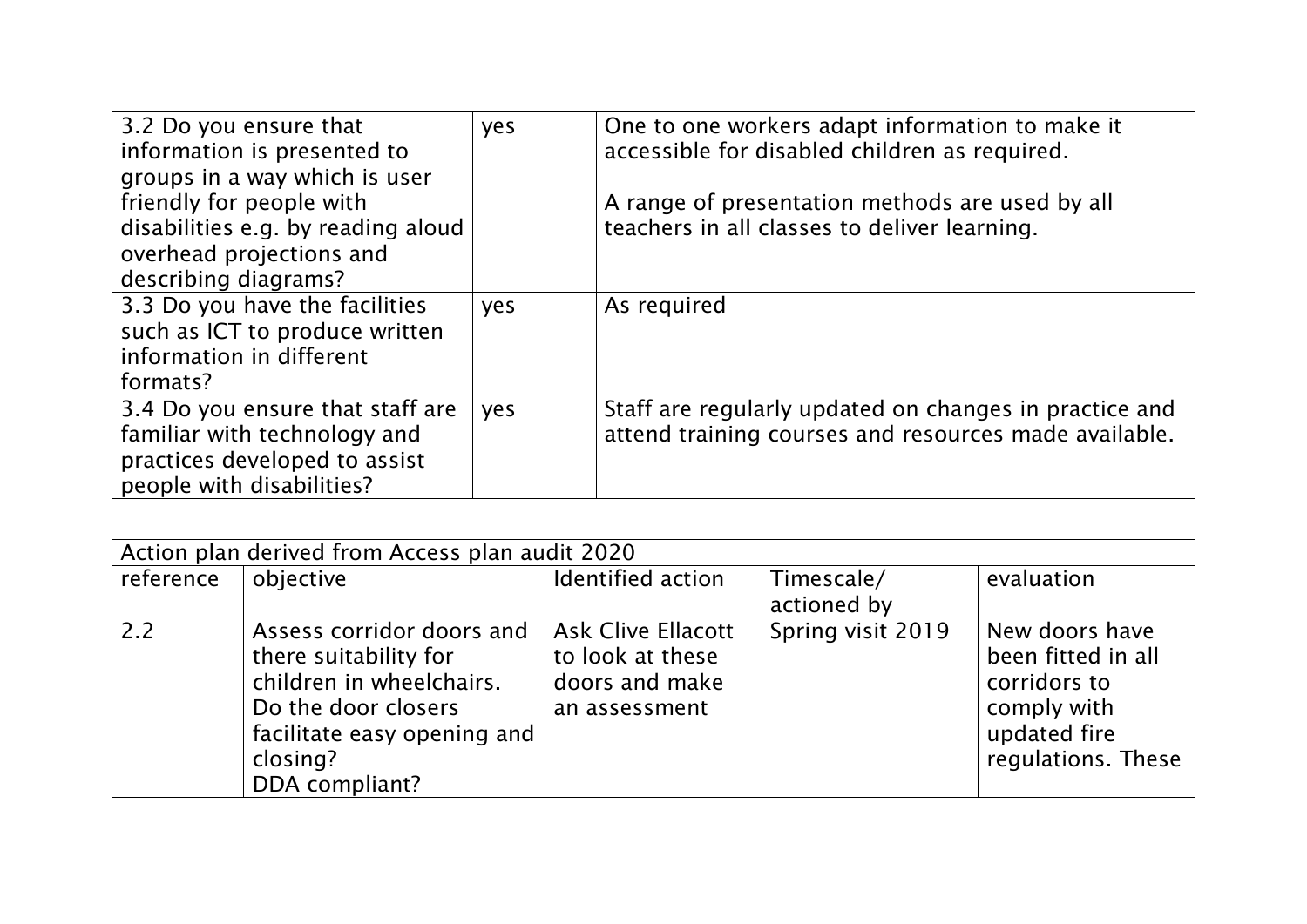| 3.2 Do you ensure that<br>information is presented to                                                                          | yes | One to one workers adapt information to make it<br>accessible for disabled children as required.                |
|--------------------------------------------------------------------------------------------------------------------------------|-----|-----------------------------------------------------------------------------------------------------------------|
| groups in a way which is user<br>friendly for people with<br>disabilities e.g. by reading aloud                                |     | A range of presentation methods are used by all<br>teachers in all classes to deliver learning.                 |
| overhead projections and<br>describing diagrams?                                                                               |     |                                                                                                                 |
| 3.3 Do you have the facilities<br>such as ICT to produce written<br>information in different<br>formats?                       | yes | As required                                                                                                     |
| 3.4 Do you ensure that staff are<br>familiar with technology and<br>practices developed to assist<br>people with disabilities? | yes | Staff are regularly updated on changes in practice and<br>attend training courses and resources made available. |

| Action plan derived from Access plan audit 2020 |                                                                                                                                                                    |                                                                                  |                           |                                                                                                           |  |  |
|-------------------------------------------------|--------------------------------------------------------------------------------------------------------------------------------------------------------------------|----------------------------------------------------------------------------------|---------------------------|-----------------------------------------------------------------------------------------------------------|--|--|
| reference                                       | objective                                                                                                                                                          | Identified action                                                                | Timescale/<br>actioned by | evaluation                                                                                                |  |  |
| 2.2                                             | Assess corridor doors and<br>there suitability for<br>children in wheelchairs.<br>Do the door closers<br>facilitate easy opening and<br>closing?<br>DDA compliant? | <b>Ask Clive Ellacott</b><br>to look at these<br>doors and make<br>an assessment | Spring visit 2019         | New doors have<br>been fitted in all<br>corridors to<br>comply with<br>updated fire<br>regulations. These |  |  |